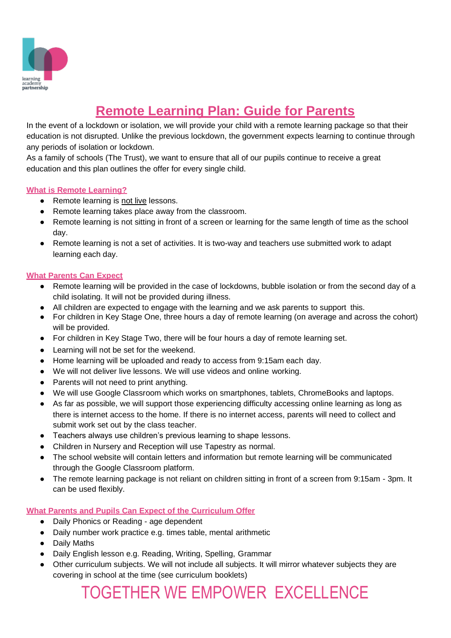

### **Remote Learning Plan: Guide for Parents**

In the event of a lockdown or isolation, we will provide your child with a remote learning package so that their education is not disrupted. Unlike the previous lockdown, the government expects learning to continue through any periods of isolation or lockdown.

As a family of schools (The Trust), we want to ensure that all of our pupils continue to receive a great education and this plan outlines the offer for every single child.

#### **What is Remote Learning?**

- Remote learning is not live lessons.
- Remote learning takes place away from the classroom.
- Remote learning is not sitting in front of a screen or learning for the same length of time as the school day.
- Remote learning is not a set of activities. It is two-way and teachers use submitted work to adapt learning each day.

#### **What Parents Can Expect**

- Remote learning will be provided in the case of lockdowns, bubble isolation or from the second day of a child isolating. It will not be provided during illness.
- All children are expected to engage with the learning and we ask parents to support this.
- For children in Key Stage One, three hours a day of remote learning (on average and across the cohort) will be provided.
- For children in Key Stage Two, there will be four hours a day of remote learning set.
- Learning will not be set for the weekend.
- Home learning will be uploaded and ready to access from 9:15am each day.
- We will not deliver live lessons. We will use videos and online working.
- Parents will not need to print anything.
- We will use Google Classroom which works on smartphones, tablets, ChromeBooks and laptops.
- As far as possible, we will support those experiencing difficulty accessing online learning as long as there is internet access to the home. If there is no internet access, parents will need to collect and submit work set out by the class teacher.
- Teachers always use children's previous learning to shape lessons.
- Children in Nursery and Reception will use Tapestry as normal.
- The school website will contain letters and information but remote learning will be communicated through the Google Classroom platform.
- The remote learning package is not reliant on children sitting in front of a screen from 9:15am 3pm. It can be used flexibly.

#### **What Parents and Pupils Can Expect of the Curriculum Offer**

- Daily Phonics or Reading age dependent
- Daily number work practice e.g. times table, mental arithmetic
- Daily Maths
- Daily English lesson e.g. Reading, Writing, Spelling, Grammar
- Other curriculum subjects. We will not include all subjects. It will mirror whatever subjects they are covering in school at the time (see curriculum booklets)

TOGETHER WE EMPOWER EXCELLENCE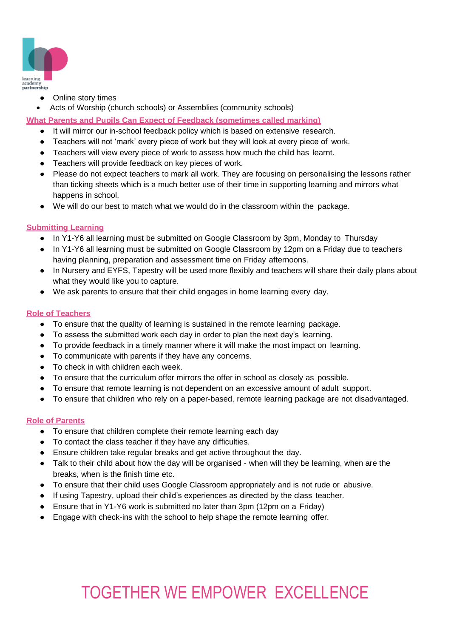

- Online story times
- Acts of Worship (church schools) or Assemblies (community schools)

**What Parents and Pupils Can Expect of Feedback (sometimes called marking)**

- It will mirror our in-school feedback policy which is based on extensive research.
- Teachers will not 'mark' every piece of work but they will look at every piece of work.
- Teachers will view every piece of work to assess how much the child has learnt.
- Teachers will provide feedback on key pieces of work.
- Please do not expect teachers to mark all work. They are focusing on personalising the lessons rather than ticking sheets which is a much better use of their time in supporting learning and mirrors what happens in school.
- We will do our best to match what we would do in the classroom within the package.

#### **Submitting Learning**

- In Y1-Y6 all learning must be submitted on Google Classroom by 3pm, Monday to Thursday
- In Y1-Y6 all learning must be submitted on Google Classroom by 12pm on a Friday due to teachers having planning, preparation and assessment time on Friday afternoons.
- In Nursery and EYFS, Tapestry will be used more flexibly and teachers will share their daily plans about what they would like you to capture.
- We ask parents to ensure that their child engages in home learning every day.

#### **Role of Teachers**

- To ensure that the quality of learning is sustained in the remote learning package.
- To assess the submitted work each day in order to plan the next day's learning.
- To provide feedback in a timely manner where it will make the most impact on learning.
- To communicate with parents if they have any concerns.
- To check in with children each week.
- To ensure that the curriculum offer mirrors the offer in school as closely as possible.
- To ensure that remote learning is not dependent on an excessive amount of adult support.
- To ensure that children who rely on a paper-based, remote learning package are not disadvantaged.

#### **Role of Parents**

- To ensure that children complete their remote learning each day
- To contact the class teacher if they have any difficulties.
- Ensure children take regular breaks and get active throughout the day.
- Talk to their child about how the day will be organised when will they be learning, when are the breaks, when is the finish time etc.
- To ensure that their child uses Google Classroom appropriately and is not rude or abusive.
- If using Tapestry, upload their child's experiences as directed by the class teacher.
- Ensure that in Y1-Y6 work is submitted no later than 3pm (12pm on a Friday)
- Engage with check-ins with the school to help shape the remote learning offer.

# TOGETHER WE EMPOWER EXCELLENCE